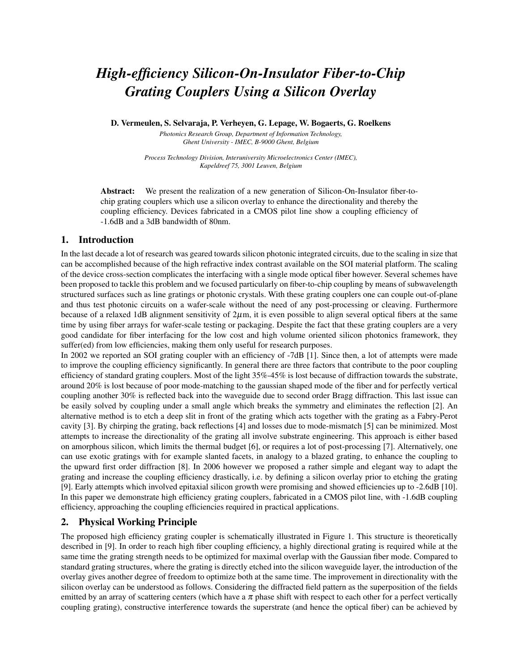# *High-efficiency Silicon-On-Insulator Fiber-to-Chip Grating Couplers Using a Silicon Overlay*

D. Vermeulen, S. Selvaraja, P. Verheyen, G. Lepage, W. Bogaerts, G. Roelkens

*Photonics Research Group, Department of Information Technology, Ghent University - IMEC, B-9000 Ghent, Belgium*

*Process Technology Division, Interuniversity Microelectronics Center (IMEC), Kapeldreef 75, 3001 Leuven, Belgium*

Abstract: We present the realization of a new generation of Silicon-On-Insulator fiber-tochip grating couplers which use a silicon overlay to enhance the directionality and thereby the coupling efficiency. Devices fabricated in a CMOS pilot line show a coupling efficiency of -1.6dB and a 3dB bandwidth of 80nm.

#### 1. Introduction

In the last decade a lot of research was geared towards silicon photonic integrated circuits, due to the scaling in size that can be accomplished because of the high refractive index contrast available on the SOI material platform. The scaling of the device cross-section complicates the interfacing with a single mode optical fiber however. Several schemes have been proposed to tackle this problem and we focused particularly on fiber-to-chip coupling by means of subwavelength structured surfaces such as line gratings or photonic crystals. With these grating couplers one can couple out-of-plane and thus test photonic circuits on a wafer-scale without the need of any post-processing or cleaving. Furthermore because of a relaxed 1dB alignment sensitivity of  $2\mu$ m, it is even possible to align several optical fibers at the same time by using fiber arrays for wafer-scale testing or packaging. Despite the fact that these grating couplers are a very good candidate for fiber interfacing for the low cost and high volume oriented silicon photonics framework, they suffer(ed) from low efficiencies, making them only useful for research purposes.

In 2002 we reported an SOI grating coupler with an efficiency of -7dB [1]. Since then, a lot of attempts were made to improve the coupling efficiency significantly. In general there are three factors that contribute to the poor coupling efficiency of standard grating couplers. Most of the light 35%-45% is lost because of diffraction towards the substrate, around 20% is lost because of poor mode-matching to the gaussian shaped mode of the fiber and for perfectly vertical coupling another 30% is reflected back into the waveguide due to second order Bragg diffraction. This last issue can be easily solved by coupling under a small angle which breaks the symmetry and eliminates the reflection [2]. An alternative method is to etch a deep slit in front of the grating which acts together with the grating as a Fabry-Perot cavity [3]. By chirping the grating, back reflections [4] and losses due to mode-mismatch [5] can be minimized. Most attempts to increase the directionality of the grating all involve substrate engineering. This approach is either based on amorphous silicon, which limits the thermal budget [6], or requires a lot of post-processing [7]. Alternatively, one can use exotic gratings with for example slanted facets, in analogy to a blazed grating, to enhance the coupling to the upward first order diffraction [8]. In 2006 however we proposed a rather simple and elegant way to adapt the grating and increase the coupling efficiency drastically, i.e. by defining a silicon overlay prior to etching the grating [9]. Early attempts which involved epitaxial silicon growth were promising and showed efficiencies up to -2.6dB [10]. In this paper we demonstrate high efficiency grating couplers, fabricated in a CMOS pilot line, with -1.6dB coupling efficiency, approaching the coupling efficiencies required in practical applications.

# 2. Physical Working Principle

The proposed high efficiency grating coupler is schematically illustrated in Figure 1. This structure is theoretically described in [9]. In order to reach high fiber coupling efficiency, a highly directional grating is required while at the same time the grating strength needs to be optimized for maximal overlap with the Gaussian fiber mode. Compared to standard grating structures, where the grating is directly etched into the silicon waveguide layer, the introduction of the overlay gives another degree of freedom to optimize both at the same time. The improvement in directionality with the silicon overlay can be understood as follows. Considering the diffracted field pattern as the superposition of the fields emitted by an array of scattering centers (which have a  $\pi$  phase shift with respect to each other for a perfect vertically coupling grating), constructive interference towards the superstrate (and hence the optical fiber) can be achieved by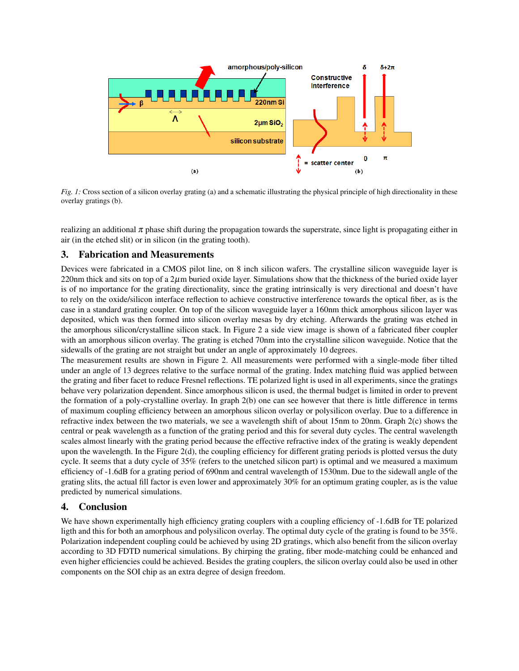

*Fig. 1:* Cross section of a silicon overlay grating (a) and a schematic illustrating the physical principle of high directionality in these overlay gratings (b).

realizing an additional  $\pi$  phase shift during the propagation towards the superstrate, since light is propagating either in air (in the etched slit) or in silicon (in the grating tooth).

## 3. Fabrication and Measurements

Devices were fabricated in a CMOS pilot line, on 8 inch silicon wafers. The crystalline silicon waveguide layer is 220nm thick and sits on top of a  $2\mu$ m buried oxide layer. Simulations show that the thickness of the buried oxide layer is of no importance for the grating directionality, since the grating intrinsically is very directional and doesn't have to rely on the oxide/silicon interface reflection to achieve constructive interference towards the optical fiber, as is the case in a standard grating coupler. On top of the silicon waveguide layer a 160nm thick amorphous silicon layer was deposited, which was then formed into silicon overlay mesas by dry etching. Afterwards the grating was etched in the amorphous silicon/crystalline silicon stack. In Figure 2 a side view image is shown of a fabricated fiber coupler with an amorphous silicon overlay. The grating is etched 70nm into the crystalline silicon waveguide. Notice that the sidewalls of the grating are not straight but under an angle of approximately 10 degrees.

The measurement results are shown in Figure 2. All measurements were performed with a single-mode fiber tilted under an angle of 13 degrees relative to the surface normal of the grating. Index matching fluid was applied between the grating and fiber facet to reduce Fresnel reflections. TE polarized light is used in all experiments, since the gratings behave very polarization dependent. Since amorphous silicon is used, the thermal budget is limited in order to prevent the formation of a poly-crystalline overlay. In graph 2(b) one can see however that there is little difference in terms of maximum coupling efficiency between an amorphous silicon overlay or polysilicon overlay. Due to a difference in refractive index between the two materials, we see a wavelength shift of about 15nm to 20nm. Graph 2(c) shows the central or peak wavelength as a function of the grating period and this for several duty cycles. The central wavelength scales almost linearly with the grating period because the effective refractive index of the grating is weakly dependent upon the wavelength. In the Figure  $2(d)$ , the coupling efficiency for different grating periods is plotted versus the duty cycle. It seems that a duty cycle of 35% (refers to the unetched silicon part) is optimal and we measured a maximum efficiency of -1.6dB for a grating period of 690nm and central wavelength of 1530nm. Due to the sidewall angle of the grating slits, the actual fill factor is even lower and approximately 30% for an optimum grating coupler, as is the value predicted by numerical simulations.

#### 4. Conclusion

We have shown experimentally high efficiency grating couplers with a coupling efficiency of -1.6dB for TE polarized ligth and this for both an amorphous and polysilicon overlay. The optimal duty cycle of the grating is found to be 35%. Polarization independent coupling could be achieved by using 2D gratings, which also benefit from the silicon overlay according to 3D FDTD numerical simulations. By chirping the grating, fiber mode-matching could be enhanced and even higher efficiencies could be achieved. Besides the grating couplers, the silicon overlay could also be used in other components on the SOI chip as an extra degree of design freedom.